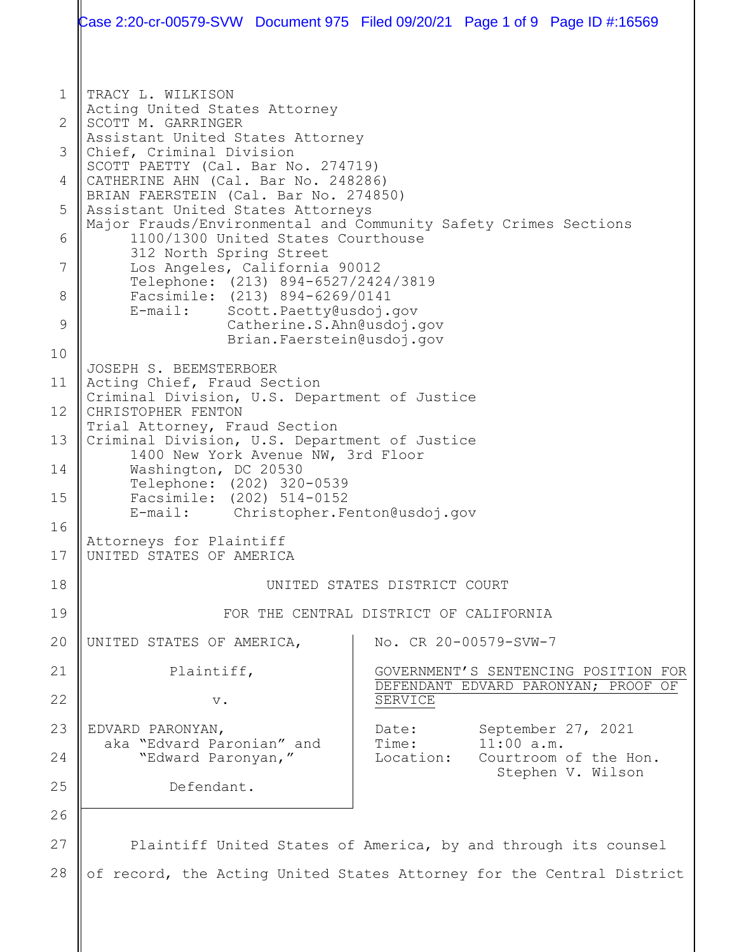1 2 3 4 5 6 7 8 9 10 11 12 13 14 15 16 17 18 19 20 21 22 23 24 25 26 27 28 TRACY L. WILKISON Acting United States Attorney SCOTT M. GARRINGER Assistant United States Attorney Chief, Criminal Division SCOTT PAETTY (Cal. Bar No. 274719) CATHERINE AHN (Cal. Bar No. 248286) BRIAN FAERSTEIN (Cal. Bar No. 274850) Assistant United States Attorneys Major Frauds/Environmental and Community Safety Crimes Sections 1100/1300 United States Courthouse 312 North Spring Street Los Angeles, California 90012 Telephone: (213) 894-6527/2424/3819 Facsimile: (213) 894-6269/0141<br>E-mail: Scott.Paetty@usdoi. Scott. Paetty@usdoj.gov Catherine.S.Ahn@usdoj.gov Brian.Faerstein@usdoj.gov JOSEPH S. BEEMSTERBOER Acting Chief, Fraud Section Criminal Division, U.S. Department of Justice CHRISTOPHER FENTON Trial Attorney, Fraud Section Criminal Division, U.S. Department of Justice 1400 New York Avenue NW, 3rd Floor Washington, DC 20530 Telephone: (202) 320-0539 Facsimile: (202) 514-0152<br>E-mail: Christopher.Fe Christopher.Fenton@usdoj.gov Attorneys for Plaintiff UNITED STATES OF AMERICA UNITED STATES DISTRICT COURT FOR THE CENTRAL DISTRICT OF CALIFORNIA UNITED STATES OF AMERICA, Plaintiff, v. EDVARD PARONYAN, aka "Edvard Paronian" and "Edward Paronyan," Defendant. No. CR 20-00579-SVW-7 GOVERNMENT'S SENTENCING POSITION FOR DEFENDANT EDVARD PARONYAN; PROOF OF SERVICE Date: September 27, 2021<br>Time: 11:00 a.m. Time: 11:00 a.m.<br>Location: Courtroom Courtroom of the Hon. Stephen V. Wilson Plaintiff United States of America, by and through its counsel of record, the Acting United States Attorney for the Central District Case 2:20-cr-00579-SVW Document 975 Filed 09/20/21 Page 1 of 9 Page ID #:16569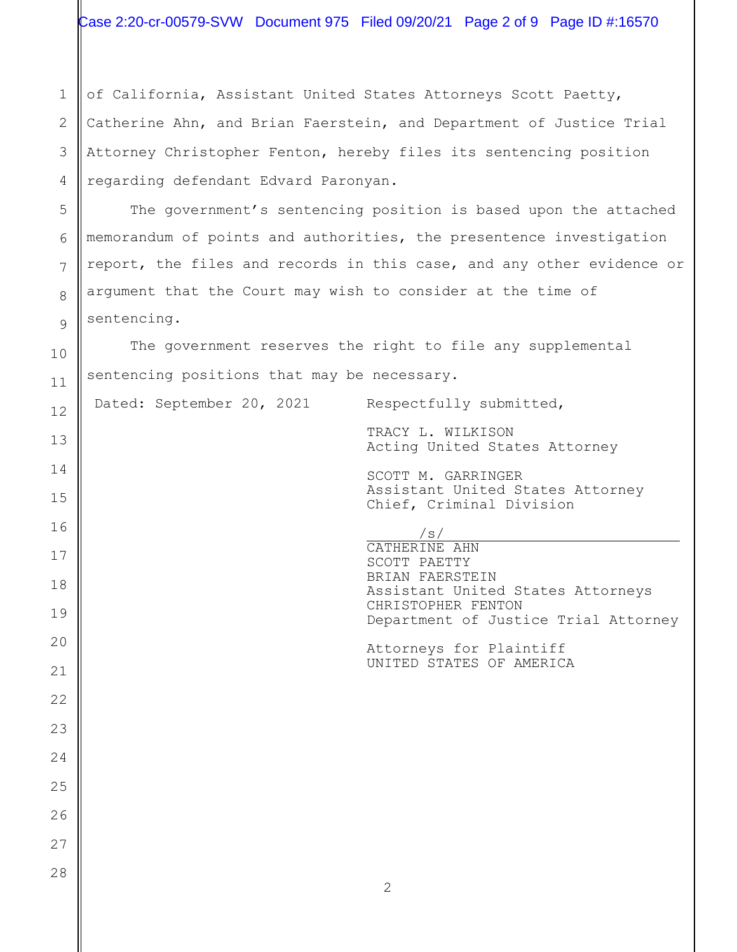of California, Assistant United States Attorneys Scott Paetty, Catherine Ahn, and Brian Faerstein, and Department of Justice Trial Attorney Christopher Fenton, hereby files its sentencing position regarding defendant Edvard Paronyan.

The government's sentencing position is based upon the attached memorandum of points and authorities, the presentence investigation report, the files and records in this case, and any other evidence or argument that the Court may wish to consider at the time of sentencing.

The government reserves the right to file any supplemental sentencing positions that may be necessary.

Dated: September 20, 2021 Respectfully submitted,

TRACY L. WILKISON Acting United States Attorney

SCOTT M. GARRINGER Assistant United States Attorney Chief, Criminal Division

/s/

CATHERINE AHN SCOTT PAETTY BRIAN FAERSTEIN Assistant United States Attorneys CHRISTOPHER FENTON Department of Justice Trial Attorney

Attorneys for Plaintiff UNITED STATES OF AMERICA

1

2

3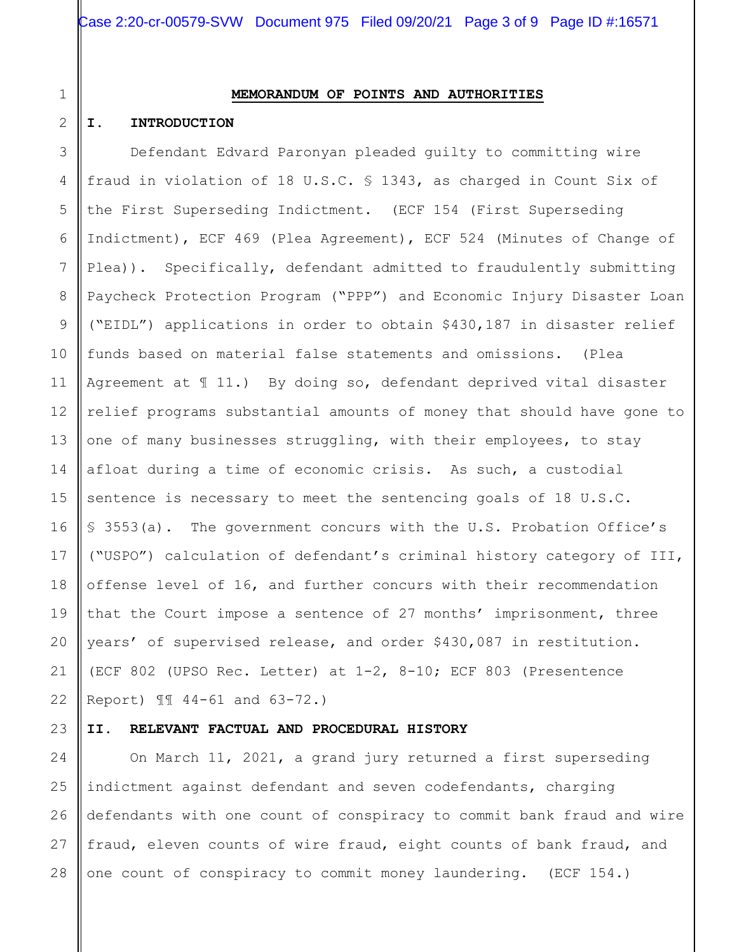# 1 2

### **MEMORANDUM OF POINTS AND AUTHORITIES**

#### **I. INTRODUCTION**

3 4 5 6 7 8 9 10 11 12 13 14 15 16 17 18 19 20 21 22 Defendant Edvard Paronyan pleaded guilty to committing wire fraud in violation of 18 U.S.C. § 1343, as charged in Count Six of the First Superseding Indictment. (ECF 154 (First Superseding Indictment), ECF 469 (Plea Agreement), ECF 524 (Minutes of Change of Plea)). Specifically, defendant admitted to fraudulently submitting Paycheck Protection Program ("PPP") and Economic Injury Disaster Loan ("EIDL") applications in order to obtain \$430,187 in disaster relief funds based on material false statements and omissions. (Plea Agreement at ¶ 11.) By doing so, defendant deprived vital disaster relief programs substantial amounts of money that should have gone to one of many businesses struggling, with their employees, to stay afloat during a time of economic crisis. As such, a custodial sentence is necessary to meet the sentencing goals of 18 U.S.C. § 3553(a). The government concurs with the U.S. Probation Office's ("USPO") calculation of defendant's criminal history category of III, offense level of 16, and further concurs with their recommendation that the Court impose a sentence of 27 months' imprisonment, three years' of supervised release, and order \$430,087 in restitution. (ECF 802 (UPSO Rec. Letter) at 1-2, 8-10; ECF 803 (Presentence Report) ¶¶ 44-61 and 63-72.)

#### 23 **II. RELEVANT FACTUAL AND PROCEDURAL HISTORY**

24 25 26 27 28 On March 11, 2021, a grand jury returned a first superseding indictment against defendant and seven codefendants, charging defendants with one count of conspiracy to commit bank fraud and wire fraud, eleven counts of wire fraud, eight counts of bank fraud, and one count of conspiracy to commit money laundering. (ECF 154.)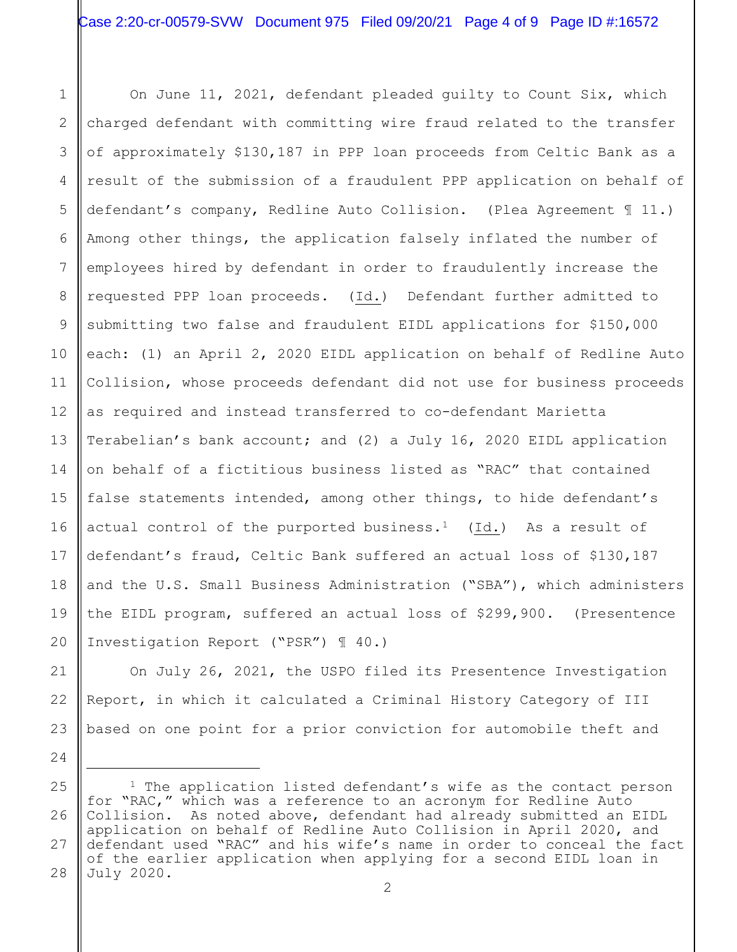1 2 3 4 5 6 7 8 9 10 11 12 13 14 15 16 On June 11, 2021, defendant pleaded guilty to Count Six, which charged defendant with committing wire fraud related to the transfer of approximately \$130,187 in PPP loan proceeds from Celtic Bank as a result of the submission of a fraudulent PPP application on behalf of defendant's company, Redline Auto Collision. (Plea Agreement ¶ 11.) Among other things, the application falsely inflated the number of employees hired by defendant in order to fraudulently increase the requested PPP loan proceeds. (Id.) Defendant further admitted to submitting two false and fraudulent EIDL applications for \$150,000 each: (1) an April 2, 2020 EIDL application on behalf of Redline Auto Collision, whose proceeds defendant did not use for business proceeds as required and instead transferred to co-defendant Marietta Terabelian's bank account; and (2) a July 16, 2020 EIDL application on behalf of a fictitious business listed as "RAC" that contained false statements intended, among other things, to hide defendant's actual control of the purported business.<sup>1</sup> (Id.) As a result of defendant's fraud, Celtic Bank suffered an actual loss of \$130,187 and the U.S. Small Business Administration ("SBA"), which administers the EIDL program, suffered an actual loss of \$299,900. (Presentence Investigation Report ("PSR") ¶ 40.)

On July 26, 2021, the USPO filed its Presentence Investigation Report, in which it calculated a Criminal History Category of III based on one point for a prior conviction for automobile theft and

<span id="page-3-0"></span><sup>27</sup> 28 <sup>1</sup> The application listed defendant's wife as the contact person for "RAC," which was a reference to an acronym for Redline Auto Collision. As noted above, defendant had already submitted an EIDL application on behalf of Redline Auto Collision in April 2020, and defendant used "RAC" and his wife's name in order to conceal the fact of the earlier application when applying for a second EIDL loan in July 2020.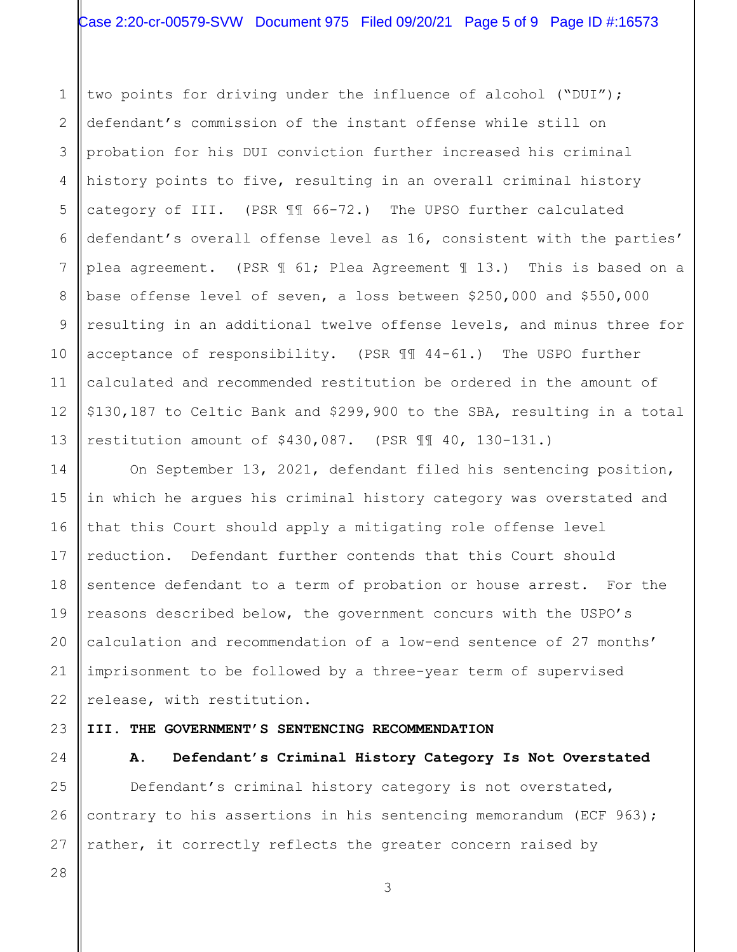1 2 3 4 5 6 7 8 9 10 11 12 13 two points for driving under the influence of alcohol ("DUI"); defendant's commission of the instant offense while still on probation for his DUI conviction further increased his criminal history points to five, resulting in an overall criminal history category of III. (PSR ¶¶ 66-72.) The UPSO further calculated defendant's overall offense level as 16, consistent with the parties' plea agreement. (PSR ¶ 61; Plea Agreement ¶ 13.) This is based on a base offense level of seven, a loss between \$250,000 and \$550,000 resulting in an additional twelve offense levels, and minus three for acceptance of responsibility. (PSR ¶¶ 44-61.) The USPO further calculated and recommended restitution be ordered in the amount of \$130,187 to Celtic Bank and \$299,900 to the SBA, resulting in a total restitution amount of \$430,087. (PSR ¶¶ 40, 130-131.)

On September 13, 2021, defendant filed his sentencing position, in which he argues his criminal history category was overstated and that this Court should apply a mitigating role offense level reduction. Defendant further contends that this Court should sentence defendant to a term of probation or house arrest. For the reasons described below, the government concurs with the USPO's calculation and recommendation of a low-end sentence of 27 months' imprisonment to be followed by a three-year term of supervised release, with restitution.

#### **III. THE GOVERNMENT'S SENTENCING RECOMMENDATION**

24

14

15

16

17

18

19

20

21

22

23

#### **A. Defendant's Criminal History Category Is Not Overstated**

25 26 27 Defendant's criminal history category is not overstated, contrary to his assertions in his sentencing memorandum (ECF 963); rather, it correctly reflects the greater concern raised by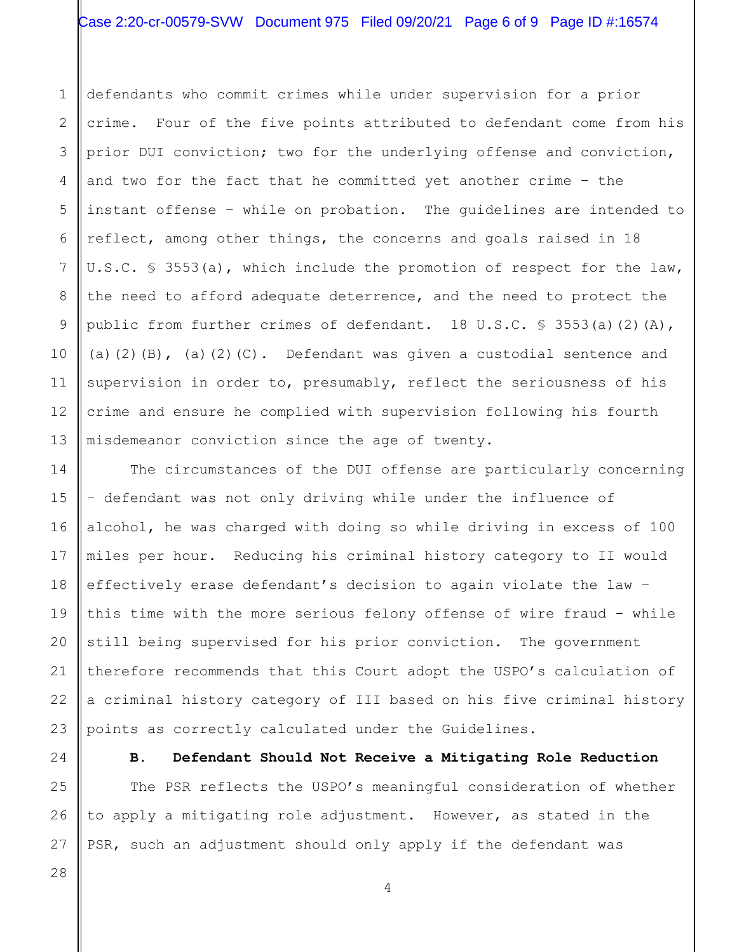# Case 2:20-cr-00579-SVW Document 975 Filed 09/20/21 Page 6 of 9 Page ID #:16574

1 2 3 4 5 6 7 8 9 10 11 12 13 defendants who commit crimes while under supervision for a prior crime. Four of the five points attributed to defendant come from his prior DUI conviction; two for the underlying offense and conviction, and two for the fact that he committed yet another crime – the instant offense – while on probation. The guidelines are intended to reflect, among other things, the concerns and goals raised in 18 U.S.C. § 3553(a), which include the promotion of respect for the law, the need to afford adequate deterrence, and the need to protect the public from further crimes of defendant. 18 U.S.C.  $\frac{1}{5}$  3553(a)(2)(A), (a)(2)(B), (a)(2)(C). Defendant was given a custodial sentence and supervision in order to, presumably, reflect the seriousness of his crime and ensure he complied with supervision following his fourth misdemeanor conviction since the age of twenty.

14 15 16 17 18 19 20 21 22 23 The circumstances of the DUI offense are particularly concerning – defendant was not only driving while under the influence of alcohol, he was charged with doing so while driving in excess of 100 miles per hour. Reducing his criminal history category to II would effectively erase defendant's decision to again violate the law – this time with the more serious felony offense of wire fraud – while still being supervised for his prior conviction. The government therefore recommends that this Court adopt the USPO's calculation of a criminal history category of III based on his five criminal history points as correctly calculated under the Guidelines.

24

**B. Defendant Should Not Receive a Mitigating Role Reduction**

25 26 27 The PSR reflects the USPO's meaningful consideration of whether to apply a mitigating role adjustment. However, as stated in the PSR, such an adjustment should only apply if the defendant was

28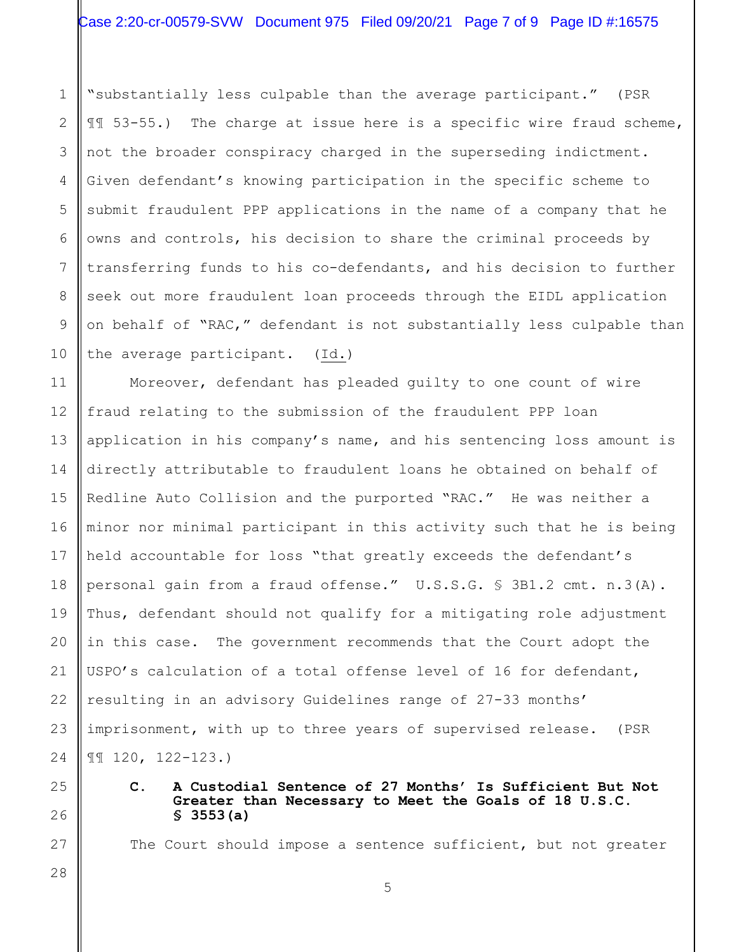1 2 3 4 5 6 7 8 9 10 "substantially less culpable than the average participant." (PSR ¶¶ 53-55.) The charge at issue here is a specific wire fraud scheme, not the broader conspiracy charged in the superseding indictment. Given defendant's knowing participation in the specific scheme to submit fraudulent PPP applications in the name of a company that he owns and controls, his decision to share the criminal proceeds by transferring funds to his co-defendants, and his decision to further seek out more fraudulent loan proceeds through the EIDL application on behalf of "RAC," defendant is not substantially less culpable than the average participant. (Id.)

11 12 13 14 15 16 17 18 19 20 21 22 23 24 Moreover, defendant has pleaded guilty to one count of wire fraud relating to the submission of the fraudulent PPP loan application in his company's name, and his sentencing loss amount is directly attributable to fraudulent loans he obtained on behalf of Redline Auto Collision and the purported "RAC." He was neither a minor nor minimal participant in this activity such that he is being held accountable for loss "that greatly exceeds the defendant's personal gain from a fraud offense." U.S.S.G. § 3B1.2 cmt. n.3(A). Thus, defendant should not qualify for a mitigating role adjustment in this case. The government recommends that the Court adopt the USPO's calculation of a total offense level of 16 for defendant, resulting in an advisory Guidelines range of 27-33 months' imprisonment, with up to three years of supervised release. (PSR ¶¶ 120, 122-123.)

25 26

27

28

**C. A Custodial Sentence of 27 Months' Is Sufficient But Not Greater than Necessary to Meet the Goals of 18 U.S.C. § 3553(a)**

The Court should impose a sentence sufficient, but not greater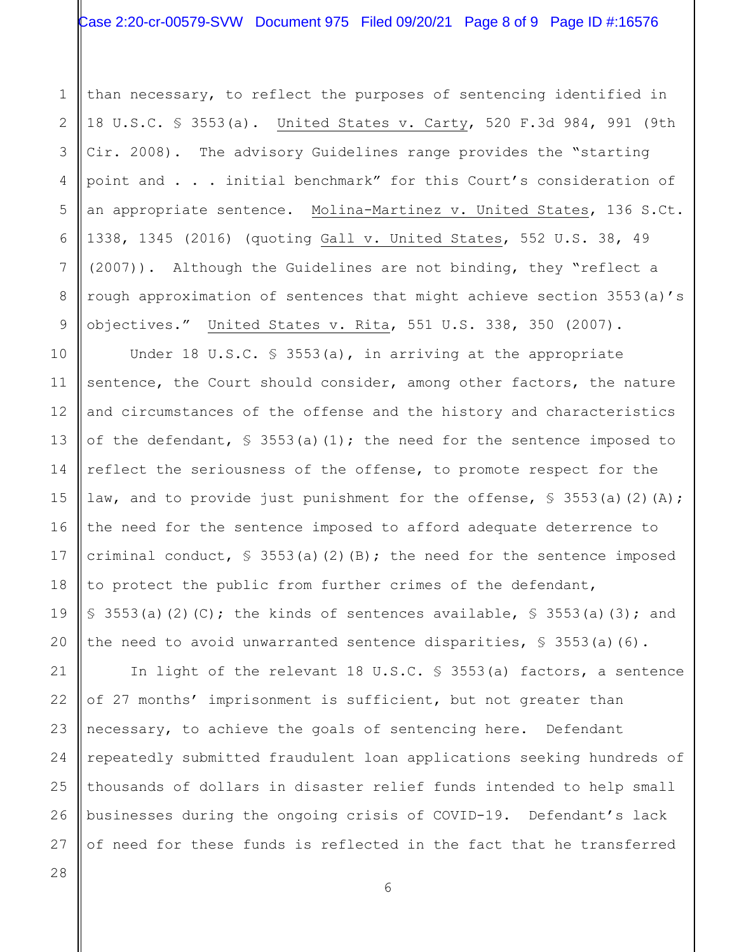# Case 2:20-cr-00579-SVW Document 975 Filed 09/20/21 Page 8 of 9 Page ID #:16576

than necessary, to reflect the purposes of sentencing identified in 18 U.S.C. § 3553(a). United States v. Carty, 520 F.3d 984, 991 (9th Cir. 2008). The advisory Guidelines range provides the "starting point and . . . initial benchmark" for this Court's consideration of an appropriate sentence. Molina-Martinez v. United States, 136 S.Ct. 1338, 1345 (2016) (quoting Gall v. United States, 552 U.S. 38, 49 (2007)). Although the Guidelines are not binding, they "reflect a rough approximation of sentences that might achieve section 3553(a)'s objectives." United States v. Rita, 551 U.S. 338, 350 (2007).

10 11 12 13 14 15 16 17 18 19 20 Under 18 U.S.C. § 3553(a), in arriving at the appropriate sentence, the Court should consider, among other factors, the nature and circumstances of the offense and the history and characteristics of the defendant,  $\frac{1}{5}$  3553(a)(1); the need for the sentence imposed to reflect the seriousness of the offense, to promote respect for the law, and to provide just punishment for the offense,  $\S$  3553(a)(2)(A); the need for the sentence imposed to afford adequate deterrence to criminal conduct,  $\frac{1}{5}$  3553(a)(2)(B); the need for the sentence imposed to protect the public from further crimes of the defendant, § 3553(a)(2)(C); the kinds of sentences available, § 3553(a)(3); and the need to avoid unwarranted sentence disparities, § 3553(a)(6).

21 22 23 24 25 26 In light of the relevant 18 U.S.C. § 3553(a) factors, a sentence of 27 months' imprisonment is sufficient, but not greater than necessary, to achieve the goals of sentencing here. Defendant repeatedly submitted fraudulent loan applications seeking hundreds of thousands of dollars in disaster relief funds intended to help small businesses during the ongoing crisis of COVID-19. Defendant's lack of need for these funds is reflected in the fact that he transferred

27 28

1

2

3

4

5

6

7

8